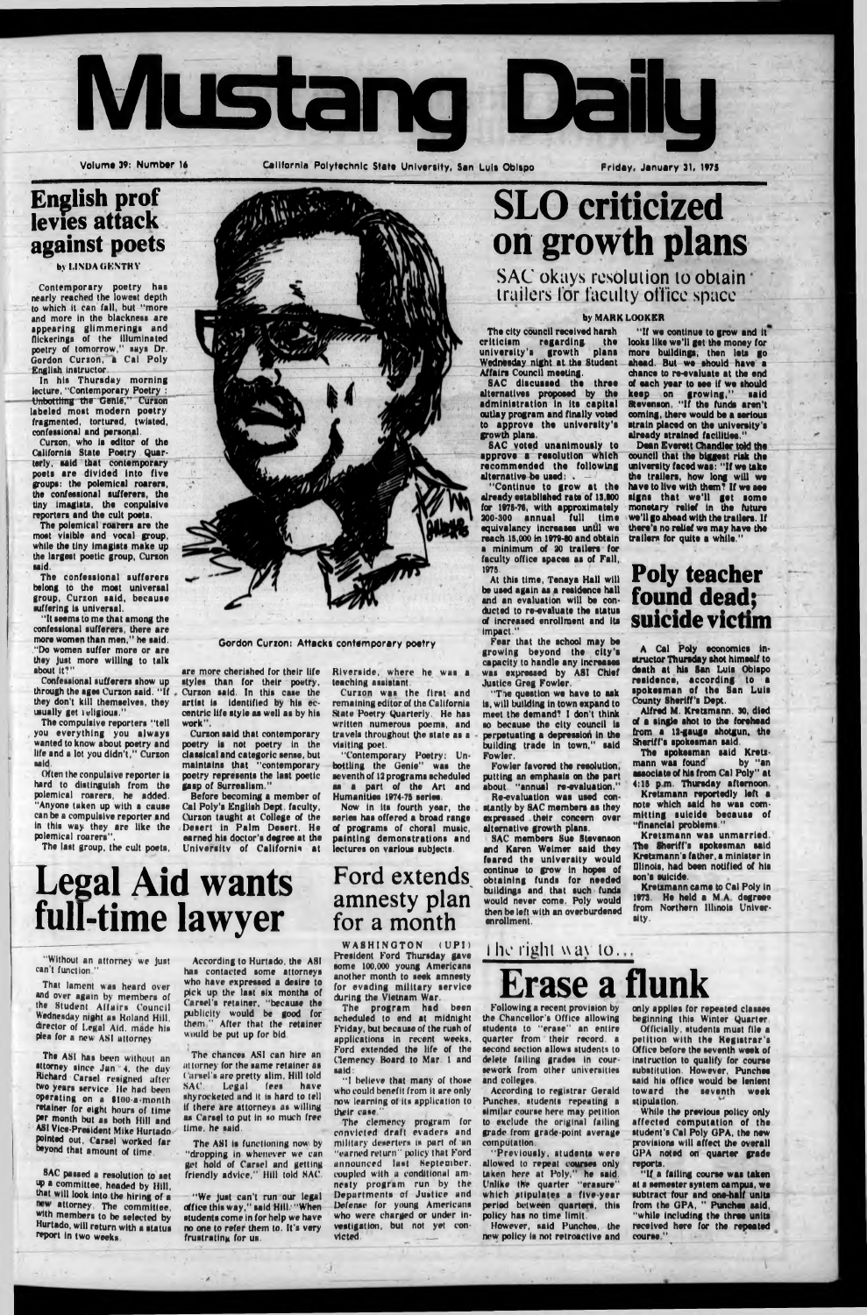

Volume 39: Num ber **16** California Polytechnic State University, San Luis Obispo Friday, January **31, 1975**

### **English prof levies attack against poets**

by LINDA GENTRY

Contemporary poetry has nearly reached the lowest depth to which It can fall, but "more and more in the blackness are appearing glimmerings and flickerings of the illuminated poetry of tomorrow," says Dr. Gordon Curzon, a Cal Poly English Instructor.

The confessional sufferers belong to the most universal group, Curzon said, because suffering is universal.

In his Thursday morning lecture, "Contemporary Poetry : Unbottling the Genie," Curzon labeled most modern poetry fragmented, tortured, twisted, confessional and personal.

Curzon, who Is editor of the California State Poetry Quarterly, said that contemporary poets are divided Into five groups: the polemical roarers, the confessional sufferers, the tiny Imaglsts, the conpulslve reporters and the cult poets.

The polemical roarers are the most visible and vocal group, while the tiny imagists make up the largest poetic group, Curzon said.

> Before becoming a member of Cal Poly's English Dept, faculty, ('urzon taught at College of the Desert In Palm Desert. He earned his doctor's degree at the University of California at

"It seems to me that among the confessional sufferers, there are more women than men," he said. "Do women suffer more or are they Just more willing to talk about It?"

> Curzon was the first and remaining editor of the California State Poetry Quarterly. He has written numerous poems, and travels throughout the state as a visiting poet.

Confessional sufferers show up through the ages Curzon said. " If they don't kill themselves, they usually get iellgious."

The compulsive reporters "tell you everything you always wanted to know about poetry and life and a lot you didn't," Curzon said.

The city council received harsh<br>riticism regarding the criticism regarding the university's growth plans Wednesday night at the Student Affairs Council meeting.

Often the conpulslve reporter is hard to distinguish from the polemical roarers, he added. "Anyone taken up with a cause can be a compulsive reporter and in this way they are like the polemical roarers".

SAC voted unanimously to approve a resolution which recommended the following alternative be used: .

The last group, the cult poets,



**Gordon Curzon: Attacks contemporary poetry**

are more cherished for their life styles than for their poetry. Curzon said. In this case the artist is Identified by his eccentric life style as well as by his work".

Curzon said that contemporary poetry is not poetry in the classical and categoric sense, but maintains that "contemporary poetry represents the last poetic gasp of Surrealism."

"The question we have to ask is, will building in town expand to meet the demand? 1 don't think so because the city council is perpetuating a depression in the building trade In town," said Fowler,

## **Legal Aid wants full-time lawyer**

Riverside, where he was a teaching assistant.

"If we continue to grow and it looks like we'll get the money for more buildings, then lets go ahead. But we should have a chance to re-evaluate at the end of each year to see if we should keep on growing," said Stevenson " If the funds aren't coming, there would be a serious strain placed on the university's already strained facilities."

"Contemporary Poetry: Unbottling the Genie" was the seventh of 12 programs scheduled as a part of the Art and Humanities 1974-75 series.

Now In Its fourth year, the series has offered a broad range of programs of choral music, painting demonstrations and lectures on various subjects.

Ford extends

Alfred M. Kretzmann. 30, died of a single shot to the forehead from a 12-gauge shotgun, the Sheriff's spokesman said.

### amnesty plan for a month

# **SLO criticized on growth plans**

**SAC okays resolution to obtain trailers ior faculty office space**

> Kretsmann was unmarried. The Sheriff's spokesman said Kretzmann's father, a minister in Dllnois, had been notified of his son's suicide.

### by MARK LOOKER

That lament was heard over and over again by members of the Student Affairs Council Wednesday night as Roland Hill, director of Legal Aid. made his plea for a new ASI attorney

SAC discussed the three alternatives proposed by the administration in its capital outlay program and finally voted to approve the university's growth plans.

SAC passed a resolution to set up a committee, headed by Hill, that will look Into the hiring of a new attorney. The committee, with members to be selected by Hurtado, will return with a status report in two weeks.

The chances ASI can hire an attorney for the same retainer as ( ni sei's are pretty slim. Hill told SAC, Legal fees have shyrocketcd and it is hard to tell If there are attorneys as willing as Carsel to put in so much free time, he said.

"Continue to grow at the already established rate of 13,800 for 1978-78, with approximately 200-300 annual full time equivalency Increases until we reach 15,000 In 1979-80 and obtain a minimum of 20 trailers for faculty office spaces as of Fall, 1975.

The ASI is functioning now by "dropping in whenever we can get hold of Carsel and getting friendly advice," Hill told SAC

At this time, Tenaya Hall will be used again as a residence hall and an evaluation will be conducted to re-evaluate the status of Increased enrollment and its Impact."

WASHINGTON (UPI) President Ford Thursday gave some 100,000 young Americans another month to seek amnesty for evading military service during the Vietnam War.

Fear that the school may be growing beyond the city's capacity to handle any Increases was expressed by ASI Chief Justice Greg Fowler.

"I believe that many of those who could benefit from It are only now learning of its application to their case "

Fowler favored the resolution, putting an emphasis on the part about "annual re-evaluation." Re-evaluation was used constantly by SAC members as they expressed their concern over alternative growth plans.

SAC members Sue Stevenson and Karen Weimar said they feared the university would continue to grow in hopes of obtaining funds for needed buildings and that such funds

would never come. Poly would then be left with an overburdened enrollment.

### **1** he right way to...

"If a failing course was taken at a semester system campus, we subtract four and one-half units from the GPA, " Punches said, "while including the three units received here for the repeated course "

Dean Everett Chandler told the council that the biggest risk the university faced was: " If we take the trailers, how long will we have to live with them? If we see signs that we'll get some monetary relief in the future we'll go ahead with the trailers. If there's no relief we may have the trailers for quite a while."

### **Poly teacher found dead; suicide victim**

A Cal Poly economics instructor Thursday shot himself to death at his San Luis Obispo residence, according to a spokesman of the San Luis County Sheriff's Dept.

The spokesman said Kretsmann was found by "an associate of his from Cal Poly" at 4:18 p m. Thursday afternoon

Kretsmann reportedly left a note which said he was committing suicide because of "financial problems."

Kretsmann came to Cal Poly in  $1973$ . He held a  $\mathbb I$ from Northern Illinois University.

"Without an attorney we Just can't function "

**The** ASI **has** been without an **attorney since Jun.'4, the** duy **Richard Carsel** resigned ufter **two years service. He had been operating on** a **lioo-a-month retainer for eight hours of time** Per **month but as both Hill and** ASI **Vice-President Mike Hurtado pointed out, Carsel worked far »yond that amount of time**

According to Hurtado, the ASI has contacted some attorneys who have expressed a desire to pick up the last six months of Carsel's retainer, "because the publicity would be good for them " After that the retainer would be put up for bid.

*l*

"We Just can't run our legal office this way," said Hill.' "When students come in for help we have no one to refer them to. It's very frustrating for us.

The program had been scheduled to end at midnight Friday, but because of the rush of applications In recent weeks. Ford extended the life of the Clemency Board to Mar. 1 and said:

The clemency program for convicted draft evaders and military deserters is part of an "earned return" policy that Ford announced lust September, coupled with a conditional amncsty program run by the Departments of Justice und Defense for young Americans who were charged or under investigation, but not yet convicted, \_\_

Following a recent provision by the Chancellor's Office allowing students to "erase" an entire quarter from their record, a second section allows students to delete failing grades In coursework from other universities and colleges.

According to registrar Gerald Punches, students repeating a similar course here may petition to exclude the original falling grade from grade-point average computation.

## **Erase a flunk**

"Previously, students were allowed to repeat courses only taken here at Poly," he said. Unlike the quarter "erasure" which stipulates a five-year period between quarters, this policy has no time limit.

However, said Punches, the new policy is not retroactive and only applies for repeated classes beginning this Winter Quarter

Officially, students must file a petition with the Registrar's Office before the seventh week of Instruction to qualify for course substitution. However. Punchee said his office would be lenient toward the seventh week stipulation.

While the previous policy only affected computation of the student's Cal Poly GPA, the new provisions will affect the overall GPA noted on quarter grade reports,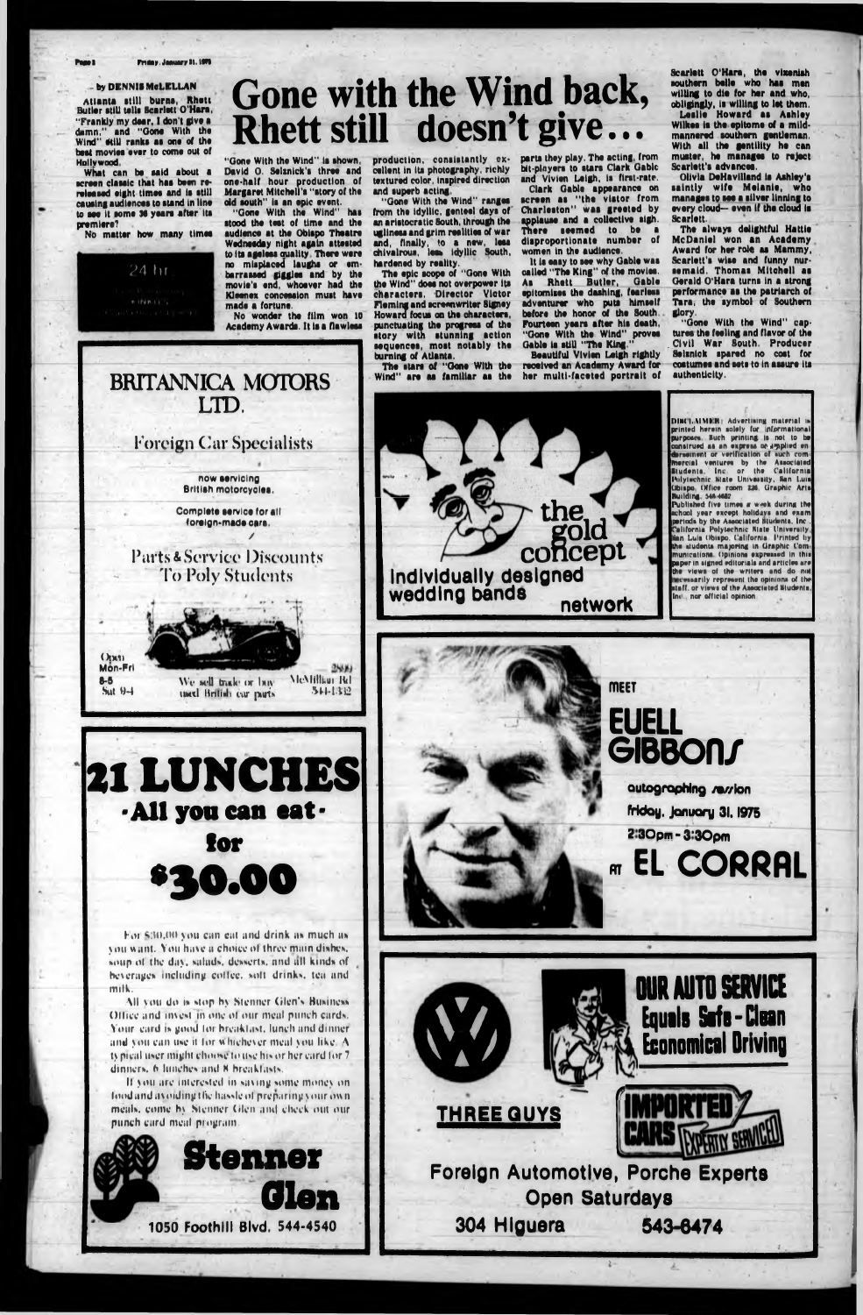#### Priday. January 31. ISTI

#### ' A state of the state of the state of the state of the state of the state of the state of the state of the state of by DENNIS McLELLAN

Atlanta still burns, Rhett Burlar stlU tails Scarlett O'Hara, "Frankly my dear, I don't give a damn," and "Oona With tha Wind" still ranks as one of the bast movias ever to coma out of **Hollywood**

What can be said about a acreen classic that has been rereleased eight times and is still causing audiences to stand in line to see it some 36 years after its premiers?

David O. Selznick's three and one-half hour production of Margaret Mitchell's "story of the old south" Is an epic event. "Gone With the Wind" has stood the test of time and the audience at the Obispo Theatre

No matter how many times

*24* hr

*P. TERRITT* 

**Gone with the Wind back,**

**Rhett still doesn't give...**

Parts & Service Discounts To Poly Students

Ogxa1 Mon-Frl 0-6

 $Sut 9-1$ 

We sell trick or boy used British cur parts McMfffftur Rd \*\*•»•1.112

production, consistently excellent in its photography, richly textured color, Inspired direction and superb acting.

 $2550$ 

Wednesday night again attested to Its ageless auallty There wore no misplaced laughs or embarrassed giggles and by the movie's end, whoever had the Kleenex concession must have made a fortune. No wonder the film won 10

"Gone With the Wind" is shown,

The stars of "Gone With the Wind" are as fam iliar as the

Academy Awarda. It is a flawless

parts they play. The acting, from bit-players to stars Clark Gable and Vivien Leigh, Is first-rate.

BRITANNICA MOTORS

LTD.

**Foreign Car Specialists**

**now servicing British motorcycles,**

**APF<br>Th** Clark Gable appearance on screen as "the vistor from Charleston" was greeted by plause and a collective sigh, There seemed to be disproportionate number of women in the audience.

**Completo service for all foreign-made cara.**

/

Beautiful Vivien Leigh rightly received an Academy Award for her multi-faceted portrait of

The always delightful Hattie McDaniel won an Academy Award for her roie as Mammy, Scarlett's wise and funny nursemaid. Thomas Mitchell as Gerald O'Hara turns in a strong performance as the patriarch of Tara, the symbol of Southern glory.

"Gone With the Wind" ranges from the idyllic, genteel days of an aristocratic South, through the ugliness and grim realities of war and, finally, to a new, less chivalrous, less Idyllic South, hardened by reality.

The epic scope of "Gone With the Wind" does not overpower its characters, Director Victor Fleming and screenwriter Slgney Howard focus on the characters, punctuating the progress of the story with stunning action sequences, most notably the burning of Atlanta.

For \$:00,00 you can cat and drink as much as you want. You have a choice of three main dishes, »»»up ol the da>. aulad\*. desert», and all kind» of beverages including coffee, soft drinks, tea and m ilk.

All you do is stop by Stenner Glen's Business. Office and invest in one of our meal punch cards. Your card is good for breakfast, lunch and dinner. and you can use it for whichever meal you like.  $A$ ty pical user might choose to use his or her card for  $7$ dinners, 6 lunches and 8 hreakfasts.

If you are interested in saving some money on lood and avoiding the hassle of preparing your own. meals, come by Stenner Glen and check out our punch card meal program .

**DIHCLAIMER:** Advertising material is **printed herein anlely fur informational purposes. Such printing is not to be cunalruad aa an expreaa or ampliad an (brae**ment or verification of such com **marcial vanluraa by lha Aaaoclaiad Student\*. Inc or lha C alifornia lAilylrchmc Siala U nivaiiliy, Kan l.uia Obiapo (Hfica room** *m ,* **Uraphic A n \***

It Is easy to see why Gable was called "The King" of the movies. As Rhett Butler, Gabls epitomises the dashing, fearless adventurer who puts himself before the honor of the South. Fourteen years after his death, " Gone With the Wind" proves Gable is still "The King."

Scarlett O'Hara, the vixenish southern belle who has men willing to die for her and who, obligingly, is willing to lot them. Leslie Howard as Ashley Wilkes Is the epitome of a mildmannered southern gentleman. With all the gentility he can muster, he manages to reject Scarlett's advances.

Olivia DeHavllland is Ashley's saintly wife Melanie, who manages to see a silver linnlng to every cloud— even if the cloud is Scarlett.

"Gone With the Wind" captures the feeling and flavor of the Civil War South. Producer Selsnick spared no cost for costumes and sets to in assure its authenticity.





**thagold**

**concept**

**Bollitine MS4#Si'**



**panuda by tha Aaaoclaiad Mudanti, Inc .**

**Publlahart flva lim a\* « w.<ek durina lha** chool year except holidays and exam **California folyiachmc Siala Cnivaraily Kan Lula Ohiapo. California I'rintad liy** the students majoring in Graphic Communications. Opinions expressed in this **paper in signed editorials and articles are tha vtawa ol tha wntara and do mH caaaarily rcpraaanl lha opuilnna of (hr alaff. or virw t of lha Aaaurlatad Kludrnia. Im nor official opinion**

**autographing /»//Ion Wdoy, Jonuory 3I. I975**

**2 30pm - 3 '3 0 pm**

**RT** EL CORRRL



 $\sim$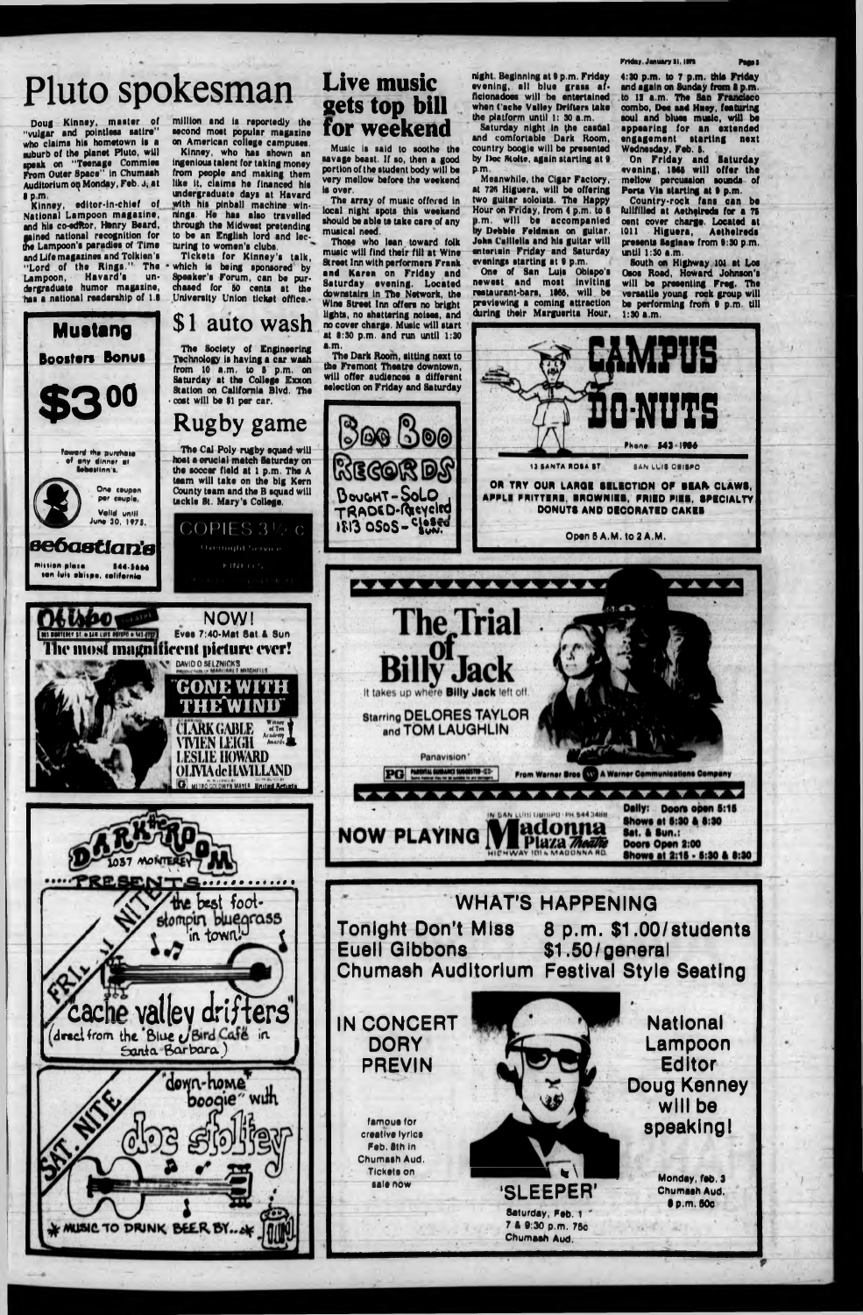## Pluto spokesman

Doug Klnnay, master of " vulgar and polntleoa aatlra" who claims his hometown Is a auburb of the planet Pluto, will speak on "Teenage Commies Prom Outer Space" In Chumash Auditorium oq Monday, Feb. J, at • pm

> Teword the purchase eny dinner at tebaillnn t.

**Solution** Coupon

per couple. **Valid until** June 30, l?7J.

Kinney, editor-in-chief of National Lampoon m agaiine, and his co-editor, Henry Beard, **gained national recognition for<br>the Lampoon's paradies of Time** i Lampoon's parodies of Time and Life magazines and Tolkien's "Lord of the Rings." The Lampoon, Havard's undergraduate humor magazine, has a national readership of l.B

**Mustang**

Boosters Bonus

**s e ó a a tla n 'e**

sen luis ahispo, colifornia

**8 00** 

mli«l#n pleie 344-3644

million and is reportedly the second most popular magazine on American college campuses.

Kinney, who has shown an ingenious talent for taking money from people and making them like it, claims he financed his undergraduate days at Havard with his pinball machine winnings. He has also travelled through the Midwest pretending to be an English lord and lecturing to women's clubs.

Tickets for Kinney's talk, which is being sponsored by **Speaker's Forum, can be pur-<br>chased for 50 cents at the<br>Halvestics** chased for 50 cents at the University Union ticket office.-

The array of music offered in local night spots this weekend should be able te take care of any musical need.

**night, Beginning at 9 p.m. Friday<br>evening, all blue grass af-<br>Scienadese will be externised** night. Beginning at 9 p.m. Friday ficionadoes will be entertained when Cache Valley Drifters take the platform until 1: 30 a.m.

Saturday night in the casual and comfortable Dark Room, country boogie will be presented by Iboc Molte, again starting at 9 p.m

C O P IE S 3 *V't*> <sup>C</sup> Overnight Service h INK ( *t* «,

**NOW!**

**GONE WITH**

**THE WIND** CLARK GABLE , 34 Tin L<br>VIVIEN LEIGH {\*\*\*i\*i\*

**LESLIE HOWARD O L IV IA de 1LW 1LLAND G** WIRGGCOWYN MAYLE NAULT Artist

**V DAVID O SELZNICKS** 

1057 **Mol**

V i

**INS BORTERY ST & SAN LIPE ORIGIN & MISSING EVES 7:40-Mat Sat & Sun** The most magnificent picture ever!



**0-NUTS** Phone **343 1986** 13 SANTA ROSA ST SAN LUIS OBISPO **OR TRY OUR LARGE BELECTION OF BEAR CLAWS, APPLE FRITTERS, BROWNIES, FRIED PIES, fFIC IA LTY DONUTS AND DECORATED CAKES** 1813 OSoS - Closed **Open 5 A.M. to 2 A.M. AAAAAAAAAAAA The Trial** ack



Panavision' PG MINIAL GUIDANCI SUGGISTID-ED-From Warner Bros W A Warner Communications Company

LOS OBISPO · PH. 544 3488

adonna

Plaza Theatre

Daily: Doors open 5:15 **Shows at 5:30 & 8:30 Sat. & Sun.:** Doors Open 2:00 Shows at 2:15 - 5:30 & 8:30

## **Live music sets top bill for weekend**

Music is said to soothe the savage beast. If so, then a good portion of the student body will be very mellow before the weekend is over.

**WHAT'S HAPPENING**<br>Tonight Don't Miss 8 p.m. \$1.00 **Tonight Don't Miss 8 p.m. \$1.00/students Euell Gibbons Chumash Auditorium Festival Style Seating**

Those who lean toward folk music will find their flit at Wine Street Inn with performers Frank and Karen on Friday and Saturday evening. Located downstairs in The Network, the Wine Street Inn offers no bright lights, no shattering noisea, and no cover charge. Music will start at 8:30 p.m. and run until 1:30 a.m.



Meanwhile, the Cigar Factory, at 726 Higuera, will be offering two guitar soloists. The Happy Hour on Friday, from 4 p.m. to 6 m, w ill be accompanied ).m. Will b**e a**ccompanied<br>by Debbie Feldman on guitar.<br>Ioba-Caillella and bis guitar will John Calllella and his guitar will **entertain** Friday and Saturday evenings starting at 9 p.m.

One of San Lu|s Obispo's newest and most inviting restaurant-bars, 1865, will be previewing a coming attraction during their Marguerita Hour,

Kriday, January Si, 1979.

4:30 p.m. to 7 p.m. this Friday and again on Sunday from **8** p.m. to 12 a.m. The San Franeiaco combo, Doe and Huey, featuring soul and blues music, will be appearing for an extended engagement starting next Wednesday, Feb. 6.

On Friday and Saturday evening, 1865 will offer the mellow percussion sounds of Porta Via starting at 9 p.m.

Country-rock fans can be (unfilled at Aethflreds for a 78 cant cover charge. Located at toil Higuera, Aethelreds presents Saginaw from 9:30 p.m. until 1:30 a.m.

South an Highway 101 at Los Osos Road, Howard Johnson's will be presenting Freg. The versatile young rock group will bo performing from 9 p.m. till 1:30 a.m.

**IN CONCERT DORY PREVIN**

**NOW PLAYING** 

**famous for creative lyrlca Feb. 8th in Chumash Aud. Tickets on sale now**



**'SLEEPER'**

**Saturday, Fab. 1 \* 7 A 9:30 p.m. 75c Chumash Aud.**

**National Lampoon Editor Doug Kenney will be speaking I**

> **Monday, fab. 3 Chumaah Aud. • p.m.50c**